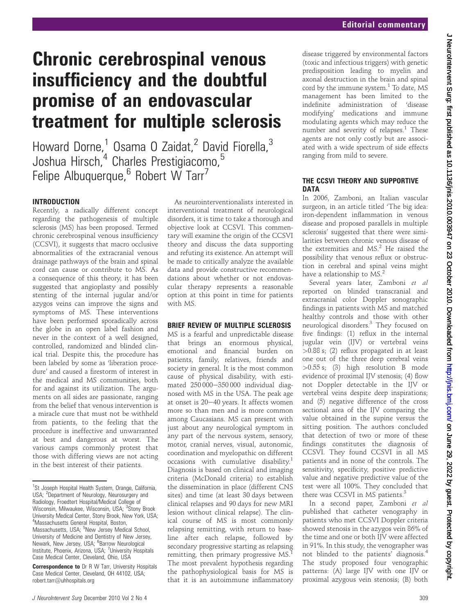# Chronic cerebrospinal venous insufficiency and the doubtful promise of an endovascular treatment for multiple sclerosis

Howard Dorne,<sup>1</sup> Osama O Zaidat,<sup>2</sup> David Fiorella,<sup>3</sup> Joshua Hirsch,<sup>4</sup> Charles Prestigiacomo,<sup>5</sup> Felipe Albuquerque,<sup>6</sup> Robert W Tarr<sup>7</sup>

#### **INTRODUCTION**

Recently, a radically different concept regarding the pathogenesis of multiple sclerosis (MS) has been proposed. Termed chronic cerebrospinal venous insufficiency (CCSVI), it suggests that macro occlusive abnormalities of the extracranial venous drainage pathways of the brain and spinal cord can cause or contribute to MS. As a consequence of this theory, it has been suggested that angioplasty and possibly stenting of the internal jugular and/or azygos veins can improve the signs and symptoms of MS. These interventions have been performed sporadically across the globe in an open label fashion and never in the context of a well designed, controlled, randomized and blinded clinical trial. Despite this, the procedure has been labeled by some as 'liberation procedure' and caused a firestorm of interest in the medical and MS communities, both for and against its utilization. The arguments on all sides are passionate, ranging from the belief that venous intervention is a miracle cure that must not be withheld from patients, to the feeling that the procedure is ineffective and unwarranted at best and dangerous at worst. The various camps commonly protest that those with differing views are not acting in the best interest of their patients.

**Correspondence to** Dr R W Tarr, University Hospitals Case Medical Center, Cleveland, OH 44102, USA; robert.tarr@uhhospitals.org

As neurointerventionalists interested in interventional treatment of neurological disorders, it is time to take a thorough and objective look at CCSVI. This commentary will examine the origin of the CCSVI theory and discuss the data supporting and refuting its existence. An attempt will be made to critically analyze the available data and provide constructive recommendations about whether or not endovascular therapy represents a reasonable option at this point in time for patients with MS.

#### BRIEF REVIEW OF MULTIPLE SCLEROSIS

MS is a fearful and unpredictable disease that brings an enormous physical, emotional and financial burden on patients, family, relatives, friends and society in general. It is the most common cause of physical disability, with estimated 250 000-350 000 individual diagnosed with MS in the USA. The peak age at onset is  $20-40$  years. It affects women more so than men and is more common among Caucasians. MS can present with just about any neurological symptom in any part of the nervous system, sensory, motor, cranial nerves, visual, autonomic, coordination and myelopathic on different occasions with cumulative disability.1 Diagnosis is based on clinical and imaging criteria (McDonald criteria) to establish the dissemination in place (different CNS sites) and time (at least 30 days between clinical relapses and 90 days for new MRI lesion without clinical relapse). The clinical course of MS is most commonly relapsing remitting, with return to baseline after each relapse, followed by secondary progressive starting as relapsing remitting, then primary progressive  $MS<sup>1</sup>$ The most prevalent hypothesis regarding the pathophysiological basis for MS is that it is an autoimmune inflammatory

disease triggered by environmental factors (toxic and infectious triggers) with genetic predisposition leading to myelin and axonal destruction in the brain and spinal cord by the immune system.<sup>1</sup> To date, MS management has been limited to the indefinite administration of 'disease modifying' medications and immune modulating agents which may reduce the number and severity of relapses.<sup>1</sup> These agents are not only costly but are associated with a wide spectrum of side effects ranging from mild to severe.

#### THE CCSVI THEORY AND SUPPORTIVE **DATA**

In 2006, Zamboni, an Italian vascular surgeon, in an article titled 'The big idea: iron-dependent inflammation in venous disease and proposed parallels in multiple sclerosis' suggested that there were similarities between chronic venous disease of the extremities and MS.<sup>2</sup> He raised the possibility that venous reflux or obstruction in cerebral and spinal veins might have a relationship to MS.<sup>2</sup>

Several years later, Zamboni et al reported on blinded transcranial and extracranial color Doppler sonographic findings in patients with MS and matched healthy controls and those with other neurological disorders.<sup>3</sup> They focused on five findings: (1) reflux in the internal jugular vein (IJV) or vertebral veins >0.88 s; (2) reflux propagated in at least one out of the three deep cerebral veins >0.55 s; (3) high resolution B mode evidence of proximal IJV stenosis; (4) flow not Doppler detectable in the IJV or vertebral veins despite deep inspirations; and (5) negative difference of the cross sectional area of the IJV comparing the value obtained in the supine versus the sitting position. The authors concluded that detection of two or more of these findings constitutes the diagnosis of CCSVI. They found CCSVI in all MS patients and in none of the controls. The sensitivity, specificity, positive predictive value and negative predictive value of the test were all 100%. They concluded that there was CCSVI in MS patients.<sup>3</sup>

In a second paper, Zamboni et al published that catheter venography in patients who met CCSVI Doppler criteria showed stenosis in the azygos vein 86% of the time and one or both IJV were affected in 91%. In this study, the venographer was not blinded to the patients' diagnosis.<sup>4</sup> The study proposed four venographic patterns: (A) large IJV with one IJV or proximal azygous vein stenosis; (B) both

<sup>&</sup>lt;sup>1</sup>St Joseph Hospital Health System, Orange, California, USA; <sup>2</sup>Department of Neurology, Neurosurgery and Radiology, Froedtert Hospital/Medical College of Wisconsin, Milwaukee, Wisconsin, USA; <sup>3</sup>Stony Brook University Medical Center, Stony Brook, New York, USA; 4 Massachusetts General Hospital, Boston, Massachusetts, USA; <sup>5</sup>New Jersey Medical School, University of Medicine and Dentistry of New Jersey, Newark, New Jersey, USA; <sup>6</sup>Barrow Neurological Institute, Phoenix, Arizona, USA; <sup>7</sup>University Hospitals Case Medical Center, Cleveland, Ohio, USA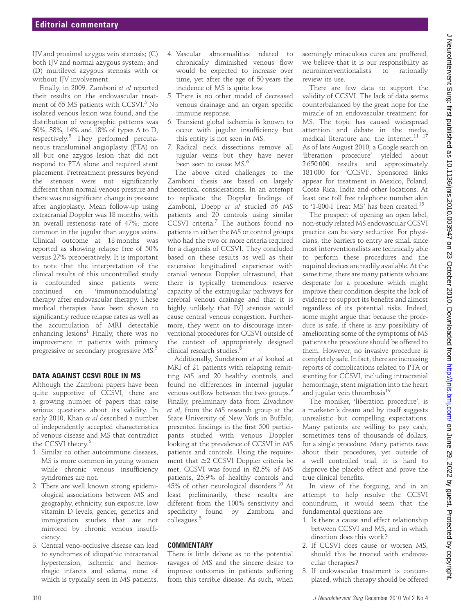IJV and proximal azygos vein stenosis; (C) both IJV and normal azygous system; and (D) multilevel azygous stenosis with or without IJV involvement.

Finally, in 2009, Zamboni et al reported their results on the endovascular treatment of 65 MS patients with CCSVI.<sup>5</sup> No isolated venous lesion was found, and the distribution of venographic patterns was 30%, 38%, 14% and 18% of types A to D, respectively.5 They performed percutaneous transluminal angioplasty (PTA) on all but one azygos lesion that did not respond to PTA alone and required stent placement. Pretreatment pressures beyond the stenosis were not significantly different than normal venous pressure and there was no significant change in pressure after angioplasty. Mean follow-up using extracranial Doppler was 18 months, with an overall restenosis rate of 47%; more common in the jugular than azygos veins. Clinical outcome at 18 months was reported as showing relapse free of 50% versus 27% preoperatively. It is important to note that the interpretation of the clinical results of this uncontrolled study is confounded since patients were<br>continued on 'immunomodulating' 'immunomodulating' therapy after endovascular therapy. These medical therapies have been shown to significantly reduce relapse rates as well as the accumulation of MRI detectable enhancing lesions<sup>1</sup> Finally, there was no improvement in patients with primary progressive or secondary progressive MS.<sup>5</sup>

### DATA AGAINST CCSVI ROLE IN MS

Although the Zamboni papers have been quite supportive of CCSVI, there are a growing number of papers that raise serious questions about its validity. In early 2010, Khan et al described a number of independently accepted characteristics of venous disease and MS that contradict the CCSVI theory.<sup>6</sup>

- 1. Similar to other autoimmune diseases, MS is more common in young women while chronic venous insufficiency syndromes are not.
- 2. There are well known strong epidemiological associations between MS and geography, ethnicity, sun exposure, low vitamin D levels, gender, genetics and immigration studies that are not mirrored by chronic venous insufficiency.
- 3. Central veno-occlusive disease can lead to syndromes of idiopathic intracranial hypertension, ischemic and hemorrhagic infarcts and edema, none of which is typically seen in MS patients.
- 4. Vascular abnormalities related to chronically diminished venous flow would be expected to increase over time, yet after the age of 50 years the incidence of MS is quite low.
- 5. There is no other model of decreased venous drainage and an organ specific immune response.
- 6. Transient global ischemia is known to occur with jugular insufficiency but this entity is not seen in MS.
- 7. Radical neck dissections remove all jugular veins but they have never been seen to cause MS.<sup>6</sup>

The above cited challenges to the Zamboni thesis are based on largely theoretical considerations. In an attempt to replicate the Doppler findings of Zamboni, Doepp et al studied 56 MS patients and 20 controls using similar CCSVI criteria. $^7$  The authors found no patients in either the MS or control groups who had the two or more criteria required for a diagnosis of CCSVI. They concluded based on these results as well as their extensive longitudinal experience with cranial venous Doppler ultrasound, that there is typically tremendous reserve capacity of the extrajugular pathways for cerebral venous drainage and that it is highly unlikely that IVJ stenosis would cause central venous congestion. Furthermore, they went on to discourage interventional procedures for CCSVI outside of the context of appropriately designed clinical research studies.

Additionally, Sundstrom et al looked at MRI of 21 patients with relapsing remitting MS and 20 healthy controls, and found no differences in internal jugular venous outflow between the two groups.<sup>9</sup> Finally, preliminary data from Zivadinov et al, from the MS research group at the State University of New York in Buffalo, presented findings in the first 500 participants studied with venous Doppler looking at the prevalence of CCSVI in MS patients and controls. Using the requirement that  $\geq$ 2 CCSVI Doppler criteria be met, CCSVI was found in 62.5% of MS patients, 25.9% of healthy controls and 45% of other neurological disorders.<sup>10</sup> At least preliminarily, these results are different from the 100% sensitivity and specificity found by Zamboni and colleagues.<sup>3</sup>

### **COMMENTARY**

There is little debate as to the potential ravages of MS and the sincere desire to improve outcomes in patients suffering from this terrible disease. As such, when seemingly miraculous cures are proffered, we believe that it is our responsibility as neurointerventionalists to rationally review its use.

There are few data to support the validity of CCSVI. The lack of data seems counterbalanced by the great hope for the miracle of an endovascular treatment for MS. The topic has caused widespread attention and debate in the media, medical literature and the internet.<sup>11-17</sup> As of late August 2010, a Google search on 'liberation procedure' yielded about 2 650 000 results and approximately 181 000 for 'CCSVI'. Sponsored links appear for treatment in Mexico, Poland, Costa Rica, India and other locations. At least one toll free telephone number akin to '1-800-I Treat MS' has been created.<sup>18</sup>

The prospect of opening an open label, non-study related MS endovascular CCSVI practice can be very seductive. For physicians, the barriers to entry are small since most interventionalists are technically able to perform these procedures and the required devices are readily available. At the same time, there are many patients who are desperate for a procedure which might improve their condition despite the lack of evidence to support its benefits and almost regardless of its potential risks. Indeed, some might argue that because the procedure is safe, if there is any possibility of ameliorating some of the symptoms of MS patients the procedure should be offered to them. However, no invasive procedure is completely safe. In fact, there are increasing reports of complications related to PTA or stenting for CCSVI, including intracranial hemorrhage, stent migration into the heart and jugular vein thrombosis<sup>19</sup>

The moniker, 'liberation procedure', is a marketer's dream and by itself suggests unrealistic but compelling expectations. Many patients are willing to pay cash, sometimes tens of thousands of dollars, for a single procedure. Many patients rave about their procedures, yet outside of a well controlled trial, it is hard to disprove the placebo effect and prove the true clinical benefits.

In view of the forgoing, and in an attempt to help resolve the CCSVI conundrum, it would seem that the fundamental questions are:

- 1. Is there a cause and effect relationship between CCSVI and MS, and in which direction does this work?
- 2. If CCSVI does cause or worsen MS, should this be treated with endovascular therapies?
- 3. If endovascular treatment is contemplated, which therapy should be offered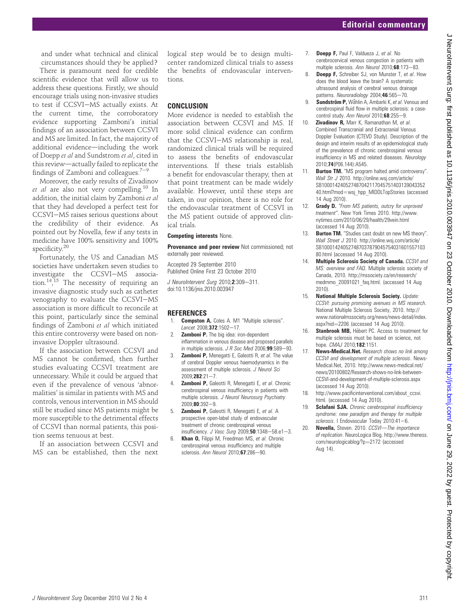and under what technical and clinical circumstances should they be applied?

There is paramount need for credible scientific evidence that will allow us to address these questions. Firstly, we should encourage trials using non-invasive studies to test if CCSVI-MS actually exists. At the current time, the corroboratory evidence supporting Zamboni's initial findings of an association between CCSVI and MS are limited. In fact, the majority of additional evidence-including the work of Doepp et al and Sundstrom et al, cited in this review-actually failed to replicate the findings of Zamboni and colleagues.<sup>7–</sup>

Moreover, the early results of Zivadinov et al are also not very compelling.<sup>10</sup> In addition, the initial claim by Zamboni et al that they had developed a perfect test for CCSVI-MS raises serious questions about the credibility of their evidence. As pointed out by Novella, few if any tests in medicine have 100% sensitivity and 100% specificity.<sup>20</sup>

Fortunately, the US and Canadian MS societies have undertaken seven studies to investigate the CCSVI-MS association.14, <sup>15</sup> The necessity of requiring an invasive diagnostic study such as catheter venography to evaluate the CCSVI-MS association is more difficult to reconcile at this point, particularly since the seminal findings of Zamboni et al which initiated this entire controversy were based on noninvasive Doppler ultrasound.

If the association between CCSVI and MS cannot be confirmed, then further studies evaluating CCSVI treatment are unnecessary. While it could be argued that even if the prevalence of venous 'abnormalities' is similar in patients with MS and controls, venous intervention in MS should still be studied since MS patients might be more susceptible to the detrimental effects of CCSVI than normal patients, this position seems tenuous at best.

If an association between CCSVI and MS can be established, then the next logical step would be to design multicenter randomized clinical trials to assess the benefits of endovascular interventions.

### **CONCLUSION**

More evidence is needed to establish the association between CCSVI and MS. If more solid clinical evidence can confirm that the CCSVI-MS relationship is real, randomized clinical trials will be required to assess the benefits of endovascular interventions. If these trials establish a benefit for endovascular therapy, then at that point treatment can be made widely available. However, until these steps are taken, in our opinion, there is no role for the endovascular treatment of CCSVI in the MS patient outside of approved clinical trials.

#### Competing interests None.

Provenance and peer review Not commissioned; not externally peer reviewed.

Accepted 29 September 2010 Published Online First 23 October 2010

J NeuroIntervent Surg 2010;2:309-311. doi:10.1136/jnis.2010.003947

#### **REFERENCES**

- 1. **Compston A, Coles A. M1 "Multiple sclerosis".** Lancet 2008;372:1502-17.
- 2. **Zamboni P.** The big idea: iron-dependent inflammation in venous disease and proposed parallels in multiple sclerosis.  $J R$  Soc Med 2006; 99:589-93.
- 3. **Zamboni P,** Menegatti E, Galeotti R, et al. The value of cerebral Doppler venous haemodynamics in the assessment of multiple sclerosis. J Neurol Sci  $2009:282:21 - 7.$
- 4. **Zamboni P,** Galeotti R, Menegatti E, et al. Chronic cerebrospinal venous insufficiency in patients with multiple sclerosis. J Neurol Neurosurg Psychiatry  $200980:392 - 9$
- 5. Zamboni P, Galeotti R, Menegatti E, et al. A prospective open-label study of endovascular treatment of chronic cerebrospinal venous insufficiency. J Vasc Surg 2009;50:1348-58.e1-3.
- 6. Khan O, Filippi M, Freedman MS, et al. Chronic cerebrospinal venous insufficiency and multiple sclerosis. Ann Neurol 2010;67:286-90.
- 7. Doepp F, Paul F, Valdueza J, et al. No cerebrocervical venous congestion in patients with multiple sclerosis. Ann Neurol 2010;68:173-83.
- **Doepp F,** Schreiber SJ, von Munster T, et al. How does the blood leave the brain? A systematic ultrasound analysis of cerebral venous drainage patterns. Neuroradiology 2004:46:565-70.
- 9. Sundström P. Wåhlin A, Ambarki K, et al. Venous and cerebrospinal fluid flow in multiple sclerosis: a casecontrol study. Ann Neurol  $2010;68:255-9$ .
- 10. Zivadinov R, Marr K, Ramanathan M, et al. Combined Transcranial and Extracranial Venous Doppler Evaluation (CTEVD Study). Description of the design and interim results of an epidemiological study of the prevalence of chronic cerebrospinal venous insufficiency in MS and related diseases. Neurology 2010;74(P06.144):A545.
- 11. Burton TM. "MS program halted amid controversy". Wall Str J 2010. http://online.wsj.com/article/ SB100014240527487042117045751403139043352 40.html?mod=wsj\_hpp\_MIDDLTopStories (accessed 14 Aug 2010).
- 12. Grady D. "From MS patients, outcry for unproved treatment". New York Times 2010. http://www. nytimes.com/2010/06/29/health/29vein.html (accessed 14 Aug 2010).
- 13. **Burton TM.** "Studies cast doubt on new MS theory". Wall Street J 2010. http://online.wsj.com/article/ SB100014240527487037879045754031601557103 80.html (accessed 14 Aug 2010).
- 14. Multiple Sclerosis Society of Canada. CCSVI and MS: overview and FAQ. Multiple sclerosis society of Canada, 2010. http://mssociety.ca/en/research/ medmmo\_20091021\_faq.html. (accessed 14 Aug 2010).
- 15. National Multiple Sclerosis Society. Update: CCSVI: pursuing promising avenues in MS research. National Multiple Sclerosis Society, 2010. http:// www.nationalmssociety.org/news/news-detail/index. aspx?nid¼2206 (accessed 14 Aug 2010).
- 16. Stanbrook MB, Hébert PC. Access to treatment for multiple sclerosis must be based on science, not hope. CMAJ 2010;182:1151.
- 17. News-Medical.Net. Research shows no link among CCSVI and development of multiple sclerosis. News-Medical.Net, 2010. http://www.news-medical.net/ news/20100802/Research-shows-no-link-between-CCSVI-and-development-of-multiple-sclerosis.aspx (accessed 14 Aug 2010).
- 18. http://www.pacificinterventional.com/about\_ccsvi. html. (accessed 14 Aug 2010).
- 19. Sclafani SJA. Chronic cerebrospinal insufficiency syndrome: new paradigm and therapy for multiple sclerosis. I Endovascular Today 2010:41-6.
- 20. Novella, Steven. 2010. CCSVI-The importance of replication. NeuroLogica Blog. http://www.theness. com/neurologicablog/?p=2172 (accessed Aug 14).